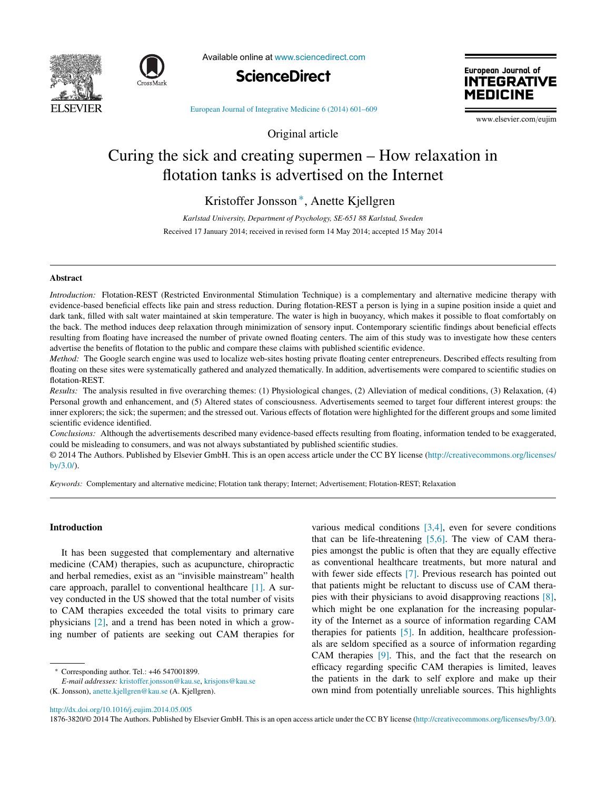



Available online at [www.sciencedirect.com](http://www.sciencedirect.com/science/journal/18763820)



European Journal of **INTEGRATIVE MEDICINE** 

[European Journal of Integrative Medicine 6 \(2014\) 601–609](dx.doi.org/10.1016/j.eujim.2014.05.005)

www.elsevier.com/eujim

# Curing the sick and creating supermen – How relaxation in flotation tanks is advertised on the Internet

Original article

Kristoffer Jonsson ∗, Anette Kjellgren

*Karlstad University, Department of Psychology, SE-651 88 Karlstad, Sweden* Received 17 January 2014; received in revised form 14 May 2014; accepted 15 May 2014

# **Abstract**

*Introduction:* Flotation-REST (Restricted Environmental Stimulation Technique) is a complementary and alternative medicine therapy with evidence-based beneficial effects like pain and stress reduction. During flotation-REST a person is lying in a supine position inside a quiet and dark tank, filled with salt water maintained at skin temperature. The water is high in buoyancy, which makes it possible to float comfortably on the back. The method induces deep relaxation through minimization of sensory input. Contemporary scientific findings about beneficial effects resulting from floating have increased the number of private owned floating centers. The aim of this study was to investigate how these centers advertise the benefits of flotation to the public and compare these claims with published scientific evidence.

*Method:* The Google search engine was used to localize web-sites hosting private floating center entrepreneurs. Described effects resulting from floating on these sites were systematically gathered and analyzed thematically. In addition, advertisements were compared to scientific studies on flotation-REST.

*Results:* The analysis resulted in five overarching themes: (1) Physiological changes, (2) Alleviation of medical conditions, (3) Relaxation, (4) Personal growth and enhancement, and (5) Altered states of consciousness. Advertisements seemed to target four different interest groups: the inner explorers; the sick; the supermen; and the stressed out. Various effects of flotation were highlighted for the different groups and some limited scientific evidence identified.

*Conclusions:* Although the advertisements described many evidence-based effects resulting from floating, information tended to be exaggerated, could be misleading to consumers, and was not always substantiated by published scientific studies.

© 2014 The Authors. Published by Elsevier GmbH. This is an open access article under the CC BY license ([http://creativecommons.org/licenses/](http://creativecommons.org/licenses/by/3.0/) [by/3.0/\)](http://creativecommons.org/licenses/by/3.0/).

*Keywords:* Complementary and alternative medicine; Flotation tank therapy; Internet; Advertisement; Flotation-REST; Relaxation

# **Introduction**

It has been suggested that complementary and alternative medicine (CAM) therapies, such as acupuncture, chiropractic and herbal remedies, exist as an "invisible mainstream" health care approach, parallel to conventional healthcare [\[1\].](#page-6-0) A survey conducted in the US showed that the total number of visits to CAM therapies exceeded the total visits to primary care physicians [\[2\],](#page-6-0) and a trend has been noted in which a growing number of patients are seeking out CAM therapies for

∗ Corresponding author. Tel.: +46 547001899.

*E-mail addresses:* [kristoffer.jonsson@kau.se](mailto:kristoffer.jonsson@kau.se), [krisjons@kau.se](mailto:krisjons@kau.se)

(K. Jonsson), [anette.kjellgren@kau.se](mailto:anette.kjellgren@kau.se) (A. Kjellgren).

various medical conditions  $[3,4]$ , even for severe conditions that can be life-threatening  $[5,6]$ . The view of CAM therapies amongst the public is often that they are equally effective as conventional healthcare treatments, but more natural and with fewer side effects [\[7\].](#page-7-0) Previous research has pointed out that patients might be reluctant to discuss use of CAM therapies with their physicians to avoid disapproving reactions [\[8\],](#page-7-0) which might be one explanation for the increasing popularity of the Internet as a source of information regarding CAM therapies for patients [\[5\].](#page-6-0) In addition, healthcare professionals are seldom specified as a source of information regarding CAM therapies [\[9\].](#page-7-0) This, and the fact that the research on efficacy regarding specific CAM therapies is limited, leaves the patients in the dark to self explore and make up their own mind from potentially unreliable sources. This highlights

[http://dx.doi.org/10.1016/j.eujim.2014.05.005](dx.doi.org/10.1016/j.eujim.2014.05.005)

1876-3820/© 2014 The Authors. Published by Elsevier GmbH. This is an open access article under the CC BY license (<http://creativecommons.org/licenses/by/3.0/>).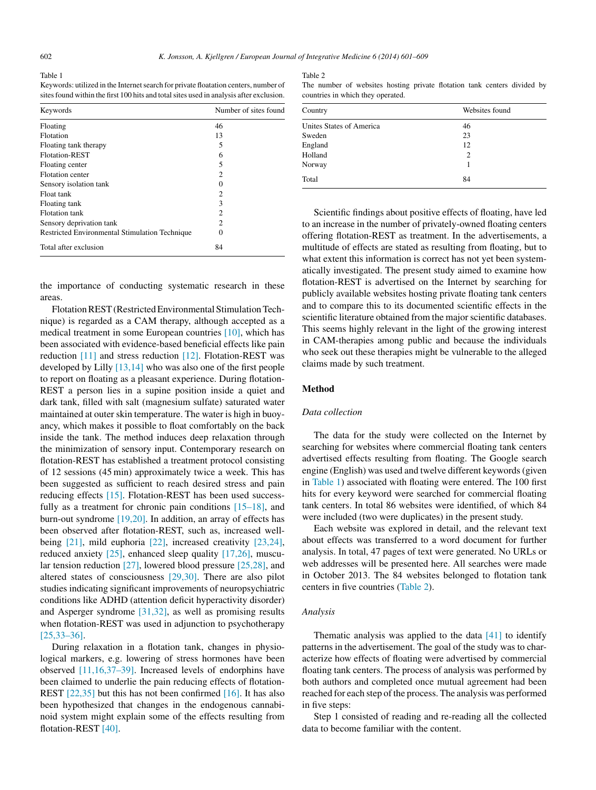#### <span id="page-1-0"></span>Table 1

Keywords: utilized in the Internet search for private floatation centers, number of sites found within the first 100 hits and total sites used in analysis after exclusion.

| Keywords                                       | Number of sites found |
|------------------------------------------------|-----------------------|
| Floating                                       | 46                    |
| Flotation                                      | 13                    |
| Floating tank therapy                          | 5                     |
| <b>Flotation-REST</b>                          | 6                     |
| Floating center                                | 5                     |
| <b>Flotation</b> center                        | 2                     |
| Sensory isolation tank                         | 0                     |
| Float tank                                     | 2                     |
| Floating tank                                  | 3                     |
| <b>Flotation</b> tank                          | $\mathfrak{D}$        |
| Sensory deprivation tank                       | $\mathfrak{D}$        |
| Restricted Environmental Stimulation Technique | $\Omega$              |
| Total after exclusion                          | 84                    |

the importance of conducting systematic research in these areas.

Flotation REST (Restricted Environmental Stimulation Technique) is regarded as a CAM therapy, although accepted as a medical treatment in some European countries [\[10\],](#page-7-0) which has been associated with evidence-based beneficial effects like pain reduction [\[11\]](#page-7-0) and stress reduction [\[12\].](#page-7-0) Flotation-REST was developed by Lilly [\[13,14\]](#page-7-0) who was also one of the first people to report on floating as a pleasant experience. During flotation-REST a person lies in a supine position inside a quiet and dark tank, filled with salt (magnesium sulfate) saturated water maintained at outer skin temperature. The water is high in buoyancy, which makes it possible to float comfortably on the back inside the tank. The method induces deep relaxation through the minimization of sensory input. Contemporary research on flotation-REST has established a treatment protocol consisting of 12 sessions (45 min) approximately twice a week. This has been suggested as sufficient to reach desired stress and pain reducing effects [\[15\].](#page-7-0) Flotation-REST has been used success-fully as a treatment for chronic pain conditions [\[15–18\],](#page-7-0) and burn-out syndrome [\[19,20\].](#page-7-0) In addition, an array of effects has been observed after flotation-REST, such as, increased well-being [\[21\],](#page-7-0) mild euphoria [\[22\],](#page-7-0) increased creativity [\[23,24\],](#page-7-0) reduced anxiety [\[25\],](#page-7-0) enhanced sleep quality [\[17,26\],](#page-7-0) muscular tension reduction [\[27\],](#page-7-0) lowered blood pressure [\[25,28\],](#page-7-0) and altered states of consciousness [\[29,30\].](#page-7-0) There are also pilot studies indicating significant improvements of neuropsychiatric conditions like ADHD (attention deficit hyperactivity disorder) and Asperger syndrome [\[31,32\],](#page-7-0) as well as promising results when flotation-REST was used in adjunction to psychotherapy [\[25,33–36\].](#page-7-0)

During relaxation in a flotation tank, changes in physiological markers, e.g. lowering of stress hormones have been observed [\[11,16,37–39\].](#page-7-0) Increased levels of endorphins have been claimed to underlie the pain reducing effects of flotation-REST  $[22,35]$  but this has not been confirmed  $[16]$ . It has also been hypothesized that changes in the endogenous cannabinoid system might explain some of the effects resulting from flotation-REST [\[40\].](#page-7-0)

|--|--|

The number of websites hosting private flotation tank centers divided by countries in which they operated.

| Country                  | Websites found |
|--------------------------|----------------|
| Unites States of America | 46             |
| Sweden                   | 23             |
| England                  | 12             |
| Holland                  | $\overline{c}$ |
| Norway                   |                |
| Total                    | 84             |

Scientific findings about positive effects of floating, have led to an increase in the number of privately-owned floating centers offering flotation-REST as treatment. In the advertisements, a multitude of effects are stated as resulting from floating, but to what extent this information is correct has not yet been systematically investigated. The present study aimed to examine how flotation-REST is advertised on the Internet by searching for publicly available websites hosting private floating tank centers and to compare this to its documented scientific effects in the scientific literature obtained from the major scientific databases. This seems highly relevant in the light of the growing interest in CAM-therapies among public and because the individuals who seek out these therapies might be vulnerable to the alleged claims made by such treatment.

# **Method**

### *Data collection*

The data for the study were collected on the Internet by searching for websites where commercial floating tank centers advertised effects resulting from floating. The Google search engine (English) was used and twelve different keywords (given in Table 1) associated with floating were entered. The 100 first hits for every keyword were searched for commercial floating tank centers. In total 86 websites were identified, of which 84 were included (two were duplicates) in the present study.

Each website was explored in detail, and the relevant text about effects was transferred to a word document for further analysis. In total, 47 pages of text were generated. No URLs or web addresses will be presented here. All searches were made in October 2013. The 84 websites belonged to flotation tank centers in five countries (Table 2).

# *Analysis*

Thematic analysis was applied to the data  $[41]$  to identify patterns in the advertisement. The goal of the study was to characterize how effects of floating were advertised by commercial floating tank centers. The process of analysis was performed by both authors and completed once mutual agreement had been reached for each step of the process. The analysis was performed in five steps:

Step 1 consisted of reading and re-reading all the collected data to become familiar with the content.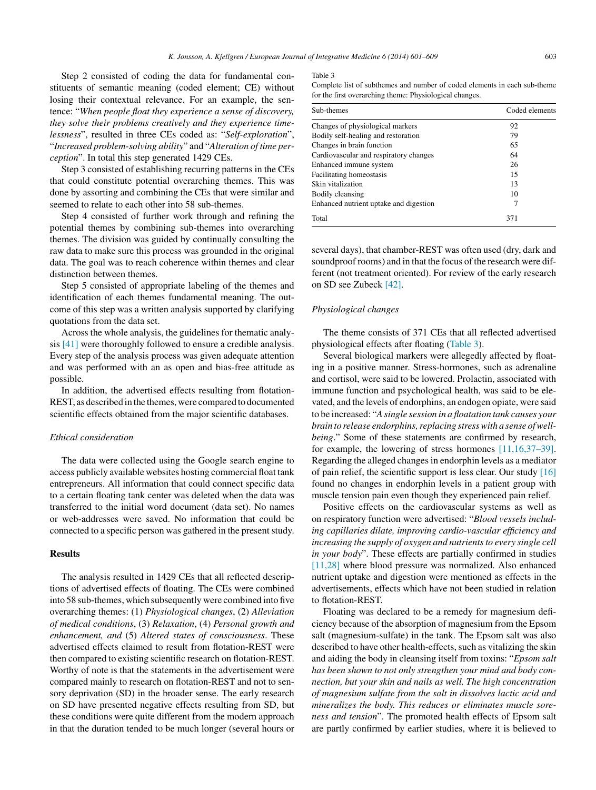Step 2 consisted of coding the data for fundamental constituents of semantic meaning (coded element; CE) without losing their contextual relevance. For an example, the sentence: "*When people float they experience a sense of discovery, they solve their problems creatively and they experience timelessness*", resulted in three CEs coded as: "*Self-exploration*", "*Increased problem-solving ability*" and "*Alteration of time perception*". In total this step generated 1429 CEs.

Step 3 consisted of establishing recurring patterns in the CEs that could constitute potential overarching themes. This was done by assorting and combining the CEs that were similar and seemed to relate to each other into 58 sub-themes.

Step 4 consisted of further work through and refining the potential themes by combining sub-themes into overarching themes. The division was guided by continually consulting the raw data to make sure this process was grounded in the original data. The goal was to reach coherence within themes and clear distinction between themes.

Step 5 consisted of appropriate labeling of the themes and identification of each themes fundamental meaning. The outcome of this step was a written analysis supported by clarifying quotations from the data set.

Across the whole analysis, the guidelines for thematic analysis [\[41\]](#page-7-0) were thoroughly followed to ensure a credible analysis. Every step of the analysis process was given adequate attention and was performed with an as open and bias-free attitude as possible.

In addition, the advertised effects resulting from flotation-REST, as described in the themes, were compared to documented scientific effects obtained from the major scientific databases.

### *Ethical consideration*

The data were collected using the Google search engine to access publicly available websites hosting commercial float tank entrepreneurs. All information that could connect specific data to a certain floating tank center was deleted when the data was transferred to the initial word document (data set). No names or web-addresses were saved. No information that could be connected to a specific person was gathered in the present study.

### **Results**

The analysis resulted in 1429 CEs that all reflected descriptions of advertised effects of floating. The CEs were combined into 58 sub-themes, which subsequently were combined into five overarching themes: (1) *Physiological changes*, (2) *Alleviation of medical conditions*, (3) *Relaxation*, (4) *Personal growth and enhancement, and* (5) *Altered states of consciousness*. These advertised effects claimed to result from flotation-REST were then compared to existing scientific research on flotation-REST. Worthy of note is that the statements in the advertisement were compared mainly to research on flotation-REST and not to sensory deprivation (SD) in the broader sense. The early research on SD have presented negative effects resulting from SD, but these conditions were quite different from the modern approach in that the duration tended to be much longer (several hours or

#### Table 3

Complete list of subthemes and number of coded elements in each sub-theme for the first overarching theme: Physiological changes.

| Sub-themes                             | Coded elements |
|----------------------------------------|----------------|
| Changes of physiological markers       | 92             |
| Bodily self-healing and restoration    | 79             |
| Changes in brain function              | 65             |
| Cardiovascular and respiratory changes | 64             |
| Enhanced immune system                 | 26             |
| Facilitating homeostasis               | 15             |
| Skin vitalization                      | 13             |
| Bodily cleansing                       | 10             |
| Enhanced nutrient uptake and digestion | 7              |
| Total                                  | 371            |

several days), that chamber-REST was often used (dry, dark and soundproof rooms) and in that the focus of the research were different (not treatment oriented). For review of the early research on SD see Zubeck [\[42\].](#page-7-0)

# *Physiological changes*

The theme consists of 371 CEs that all reflected advertised physiological effects after floating (Table 3).

Several biological markers were allegedly affected by floating in a positive manner. Stress-hormones, such as adrenaline and cortisol, were said to be lowered. Prolactin, associated with immune function and psychological health, was said to be elevated, and the levels of endorphins, an endogen opiate, were said to be increased: "*A single session in a floatation tank causes your brain to release endorphins, replacing stress with a sense of wellbeing*." Some of these statements are confirmed by research, for example, the lowering of stress hormones [\[11,16,37–39\].](#page-7-0) Regarding the alleged changes in endorphin levels as a mediator of pain relief, the scientific support is less clear. Our study [\[16\]](#page-7-0) found no changes in endorphin levels in a patient group with muscle tension pain even though they experienced pain relief.

Positive effects on the cardiovascular systems as well as on respiratory function were advertised: "*Blood vessels including capillaries dilate, improving cardio-vascular efficiency and increasing the supply of oxygen and nutrients to every single cell in your body*". These effects are partially confirmed in studies [\[11,28\]](#page-7-0) where blood pressure was normalized. Also enhanced nutrient uptake and digestion were mentioned as effects in the advertisements, effects which have not been studied in relation to flotation-REST.

Floating was declared to be a remedy for magnesium deficiency because of the absorption of magnesium from the Epsom salt (magnesium-sulfate) in the tank. The Epsom salt was also described to have other health-effects, such as vitalizing the skin and aiding the body in cleansing itself from toxins: "*Epsom salt has been shown to not only strengthen your mind and body connection, but your skin and nails as well. The high concentration of magnesium sulfate from the salt in dissolves lactic acid and mineralizes the body. This reduces or eliminates muscle soreness and tension*". The promoted health effects of Epsom salt are partly confirmed by earlier studies, where it is believed to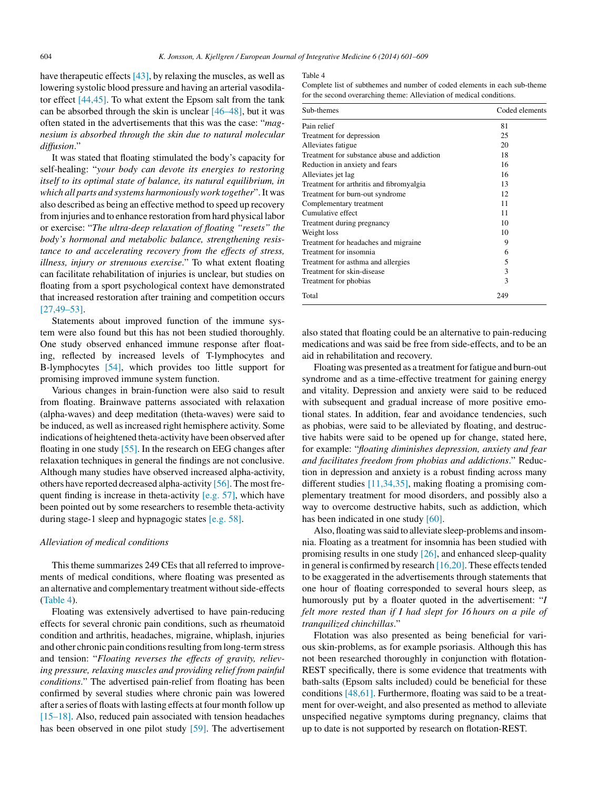have therapeutic effects [\[43\], b](#page-7-0)y relaxing the muscles, as well as lowering systolic blood pressure and having an arterial vasodilator effect [\[44,45\]. T](#page-7-0)o what extent the Epsom salt from the tank can be absorbed through the skin is unclear [\[46–48\],](#page-7-0) but it was often stated in the advertisements that this was the case: "*magnesium is absorbed through the skin due to natural molecular diffusion*."

It was stated that floating stimulated the body's capacity for self-healing: "*your body can devote its energies to restoring itself to its optimal state of balance, its natural equilibrium, in which all parts and systems harmoniously work together*". It was also described as being an effective method to speed up recovery from injuries and to enhance restoration from hard physical labor or exercise: "*The ultra-deep relaxation of floating "resets" the body's hormonal and metabolic balance, strengthening resistance to and accelerating recovery from the effects of stress, illness, injury or strenuous exercise*." To what extent floating can facilitate rehabilitation of injuries is unclear, but studies on floating from a sport psychological context have demonstrated that increased restoration after training and competition occurs [\[27,49–53\].](#page-7-0)

Statements about improved function of the immune system were also found but this has not been studied thoroughly. One study observed enhanced immune response after floating, reflected by increased levels of T-lymphocytes and B-lymphocytes [\[54\],](#page-8-0) which provides too little support for promising improved immune system function.

Various changes in brain-function were also said to result from floating. Brainwave patterns associated with relaxation (alpha-waves) and deep meditation (theta-waves) were said to be induced, as well as increased right hemisphere activity. Some indications of heightened theta-activity have been observed after floating in one study [\[55\].](#page-8-0) In the research on EEG changes after relaxation techniques in general the findings are not conclusive. Although many studies have observed increased alpha-activity, others have reported decreased alpha-activity [\[56\]. T](#page-8-0)he most frequent finding is increase in theta-activity [\[e.g. 57\],](#page-8-0) which have been pointed out by some researchers to resemble theta-activity during stage-1 sleep and hypnagogic states [\[e.g. 58\].](#page-8-0)

### *Alleviation of medical conditions*

This theme summarizes 249 CEs that all referred to improvements of medical conditions, where floating was presented as an alternative and complementary treatment without side-effects (Table 4).

Floating was extensively advertised to have pain-reducing effects for several chronic pain conditions, such as rheumatoid condition and arthritis, headaches, migraine, whiplash, injuries and other chronic pain conditions resulting from long-term stress and tension: "*Floating reverses the effects of gravity, relieving pressure, relaxing muscles and providing relief from painful conditions*." The advertised pain-relief from floating has been confirmed by several studies where chronic pain was lowered after a series of floats with lasting effects at four month follow up [\[15–18\].](#page-7-0) Also, reduced pain associated with tension headaches has been observed in one pilot study [\[59\].](#page-8-0) The advertisement

#### Table 4

Complete list of subthemes and number of coded elements in each sub-theme for the second overarching theme: Alleviation of medical conditions.

| Sub-themes                                  | Coded elements |
|---------------------------------------------|----------------|
| Pain relief                                 | 81             |
| Treatment for depression                    | 25             |
| Alleviates fatigue                          | 20             |
| Treatment for substance abuse and addiction | 18             |
| Reduction in anxiety and fears              | 16             |
| Alleviates jet lag                          | 16             |
| Treatment for arthritis and fibromyalgia    | 13             |
| Treatment for burn-out syndrome             | 12             |
| Complementary treatment                     | 11             |
| Cumulative effect                           | 11             |
| Treatment during pregnancy                  | 10             |
| Weight loss                                 | 10             |
| Treatment for headaches and migraine.       | 9              |
| Treatment for insomnia                      | 6              |
| Treatment for asthma and allergies          | 5              |
| Treatment for skin-disease                  | 3              |
| Treatment for phobias                       | 3              |
| Total                                       | 249            |

also stated that floating could be an alternative to pain-reducing medications and was said be free from side-effects, and to be an aid in rehabilitation and recovery.

Floating was presented as a treatment for fatigue and burn-out syndrome and as a time-effective treatment for gaining energy and vitality. Depression and anxiety were said to be reduced with subsequent and gradual increase of more positive emotional states. In addition, fear and avoidance tendencies, such as phobias, were said to be alleviated by floating, and destructive habits were said to be opened up for change, stated here, for example: "*floating diminishes depression, anxiety and fear and facilitates freedom from phobias and addictions*." Reduction in depression and anxiety is a robust finding across many different studies [\[11,34,35\], m](#page-7-0)aking floating a promising complementary treatment for mood disorders, and possibly also a way to overcome destructive habits, such as addiction, which has been indicated in one study [\[60\].](#page-8-0)

Also, floating was said to alleviate sleep-problems and insomnia. Floating as a treatment for insomnia has been studied with promising results in one study [\[26\], a](#page-7-0)nd enhanced sleep-quality in general is confirmed by research [\[16,20\]. T](#page-7-0)hese effects tended to be exaggerated in the advertisements through statements that one hour of floating corresponded to several hours sleep, as humorously put by a floater quoted in the advertisement: "*I felt more rested than if I had slept for 16 hours on a pile of tranquilized chinchillas*."

Flotation was also presented as being beneficial for various skin-problems, as for example psoriasis. Although this has not been researched thoroughly in conjunction with flotation-REST specifically, there is some evidence that treatments with bath-salts (Epsom salts included) could be beneficial for these conditions [\[48,61\]. F](#page-7-0)urthermore, floating was said to be a treatment for over-weight, and also presented as method to alleviate unspecified negative symptoms during pregnancy, claims that up to date is not supported by research on flotation-REST.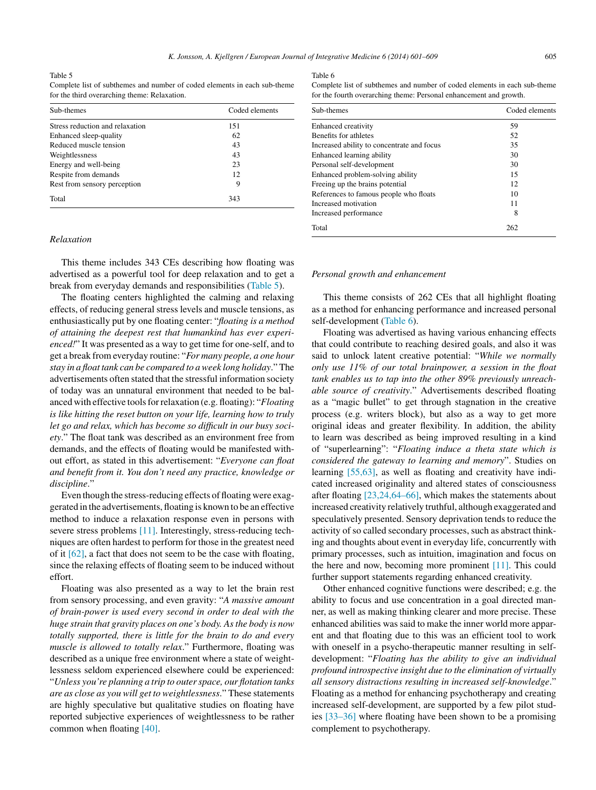Table 5

Complete list of subthemes and number of coded elements in each sub-theme for the third overarching theme: Relaxation.

| Sub-themes                      | Coded elements |
|---------------------------------|----------------|
| Stress reduction and relaxation | 151            |
| Enhanced sleep-quality          | 62             |
| Reduced muscle tension          | 43             |
| Weightlessness                  | 43             |
| Energy and well-being           | 23             |
| Respite from demands            | 12.            |
| Rest from sensory perception    | 9              |
| Total                           | 343            |

# *Relaxation*

This theme includes 343 CEs describing how floating was advertised as a powerful tool for deep relaxation and to get a break from everyday demands and responsibilities (Table 5).

The floating centers highlighted the calming and relaxing effects, of reducing general stress levels and muscle tensions, as enthusiastically put by one floating center: "*floating is a method of attaining the deepest rest that humankind has ever experienced!*" It was presented as a way to get time for one-self, and to get a break from everyday routine: "*For many people, a one hour stay in a float tank can be compared to a week long holiday*." The advertisements often stated that the stressful information society of today was an unnatural environment that needed to be balanced with effective tools for relaxation (e.g. floating): "*Floating is like hitting the reset button on your life, learning how to truly let go and relax, which has become so difficult in our busy society*." The float tank was described as an environment free from demands, and the effects of floating would be manifested without effort, as stated in this advertisement: "*Everyone can float and benefit from it. You don't need any practice, knowledge or discipline*."

Even though the stress-reducing effects of floating were exaggerated in the advertisements, floating is known to be an effective method to induce a relaxation response even in persons with severe stress problems [\[11\].](#page-7-0) Interestingly, stress-reducing techniques are often hardest to perform for those in the greatest need of it [\[62\],](#page-8-0) a fact that does not seem to be the case with floating, since the relaxing effects of floating seem to be induced without effort.

Floating was also presented as a way to let the brain rest from sensory processing, and even gravity: "*A massive amount of brain-power is used every second in order to deal with the huge strain that gravity places on one's body. As the body is now totally supported, there is little for the brain to do and every muscle is allowed to totally relax*." Furthermore, floating was described as a unique free environment where a state of weightlessness seldom experienced elsewhere could be experienced: "*Unless you're planning a trip to outer space, our flotation tanks are as close as you will get to weightlessness*." These statements are highly speculative but qualitative studies on floating have reported subjective experiences of weightlessness to be rather common when floating [\[40\].](#page-7-0)

#### Table 6

Complete list of subthemes and number of coded elements in each sub-theme for the fourth overarching theme: Personal enhancement and growth.

| Sub-themes                                 | Coded elements |
|--------------------------------------------|----------------|
| Enhanced creativity                        | 59             |
| Benefits for athletes                      | 52             |
| Increased ability to concentrate and focus | 35             |
| Enhanced learning ability                  | 30             |
| Personal self-development                  | 30             |
| Enhanced problem-solving ability           | 15             |
| Freeing up the brains potential            | 12             |
| References to famous people who floats     | 10             |
| Increased motivation                       | 11             |
| Increased performance                      | 8              |
| Total                                      | 262            |

### *Personal growth and enhancement*

This theme consists of 262 CEs that all highlight floating as a method for enhancing performance and increased personal self-development (Table 6).

Floating was advertised as having various enhancing effects that could contribute to reaching desired goals, and also it was said to unlock latent creative potential: "*While we normally only use 11% of our total brainpower, a session in the float tank enables us to tap into the other 89% previously unreachable source of creativity*." Advertisements described floating as a "magic bullet" to get through stagnation in the creative process (e.g. writers block), but also as a way to get more original ideas and greater flexibility. In addition, the ability to learn was described as being improved resulting in a kind of "superlearning": "*Floating induce a theta state which is considered the gateway to learning and memory*". Studies on learning [\[55,63\],](#page-8-0) as well as floating and creativity have indicated increased originality and altered states of consciousness after floating [\[23,24,64–66\], w](#page-7-0)hich makes the statements about increased creativity relatively truthful, although exaggerated and speculatively presented. Sensory deprivation tends to reduce the activity of so called secondary processes, such as abstract thinking and thoughts about event in everyday life, concurrently with primary processes, such as intuition, imagination and focus on the here and now, becoming more prominent [\[11\].](#page-7-0) This could further support statements regarding enhanced creativity.

Other enhanced cognitive functions were described; e.g. the ability to focus and use concentration in a goal directed manner, as well as making thinking clearer and more precise. These enhanced abilities was said to make the inner world more apparent and that floating due to this was an efficient tool to work with oneself in a psycho-therapeutic manner resulting in selfdevelopment: "*Floating has the ability to give an individual profound introspective insight due to the elimination of virtually all sensory distractions resulting in increased self-knowledge*." Floating as a method for enhancing psychotherapy and creating increased self-development, are supported by a few pilot studies [\[33–36\]](#page-7-0) where floating have been shown to be a promising complement to psychotherapy.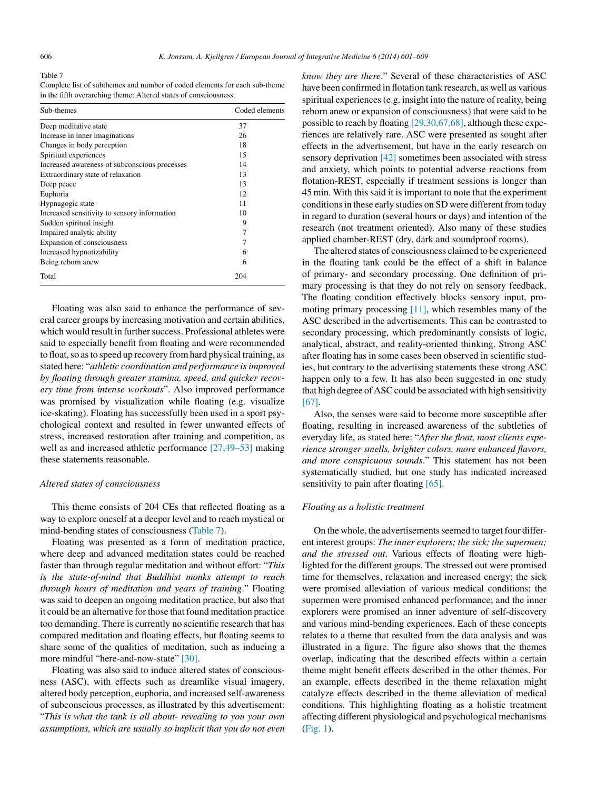Table 7

Complete list of subthemes and number of coded elements for each sub-theme in the fifth overarching theme: Altered states of consciousness.

| Sub-themes                                    | Coded elements |
|-----------------------------------------------|----------------|
| Deep meditative state                         | 37             |
| Increase in inner imaginations                | 26             |
| Changes in body perception                    | 18             |
| Spiritual experiences                         | 15             |
| Increased awareness of subconscious processes | 14             |
| Extraordinary state of relaxation             | 13             |
| Deep peace                                    | 13             |
| Euphoria                                      | 12             |
| Hypnagogic state                              | 11             |
| Increased sensitivity to sensory information  | 10             |
| Sudden spiritual insight                      | 9              |
| Impaired analytic ability                     | 7              |
| Expansion of consciousness                    | 7              |
| Increased hypnotizability                     | 6              |
| Being reborn anew                             | 6              |
| Total                                         | 204            |

Floating was also said to enhance the performance of several career groups by increasing motivation and certain abilities, which would result in further success. Professional athletes were said to especially benefit from floating and were recommended to float, so as to speed up recovery from hard physical training, as stated here: "*athletic coordination and performance is improved by floating through greater stamina, speed, and quicker recovery time from intense workouts*". Also improved performance was promised by visualization while floating (e.g. visualize ice-skating). Floating has successfully been used in a sport psychological context and resulted in fewer unwanted effects of stress, increased restoration after training and competition, as well as and increased athletic performance [\[27,49–53\]](#page-7-0) making these statements reasonable.

### *Altered states of consciousness*

This theme consists of 204 CEs that reflected floating as a way to explore oneself at a deeper level and to reach mystical or mind-bending states of consciousness (Table 7).

Floating was presented as a form of meditation practice, where deep and advanced meditation states could be reached faster than through regular meditation and without effort: "*This is the state-of-mind that Buddhist monks attempt to reach through hours of meditation and years of training*." Floating was said to deepen an ongoing meditation practice, but also that it could be an alternative for those that found meditation practice too demanding. There is currently no scientific research that has compared meditation and floating effects, but floating seems to share some of the qualities of meditation, such as inducing a more mindful "here-and-now-state" [\[30\].](#page-7-0)

Floating was also said to induce altered states of consciousness (ASC), with effects such as dreamlike visual imagery, altered body perception, euphoria, and increased self-awareness of subconscious processes, as illustrated by this advertisement: "*This is what the tank is all about- revealing to you your own assumptions, which are usually so implicit that you do not even*

*know they are there*." Several of these characteristics of ASC have been confirmed in flotation tank research, as well as various spiritual experiences (e.g. insight into the nature of reality, being reborn anew or expansion of consciousness) that were said to be possible to reach by floating [\[29,30,67,68\], a](#page-7-0)lthough these experiences are relatively rare. ASC were presented as sought after effects in the advertisement, but have in the early research on sensory deprivation [\[42\]](#page-7-0) sometimes been associated with stress and anxiety, which points to potential adverse reactions from flotation-REST, especially if treatment sessions is longer than 45 min. With this said it is important to note that the experiment conditions in these early studies on SD were different from today in regard to duration (several hours or days) and intention of the research (not treatment oriented). Also many of these studies applied chamber-REST (dry, dark and soundproof rooms).

The altered states of consciousness claimed to be experienced in the floating tank could be the effect of a shift in balance of primary- and secondary processing. One definition of primary processing is that they do not rely on sensory feedback. The floating condition effectively blocks sensory input, promoting primary processing [\[11\],](#page-7-0) which resembles many of the ASC described in the advertisements. This can be contrasted to secondary processing, which predominantly consists of logic, analytical, abstract, and reality-oriented thinking. Strong ASC after floating has in some cases been observed in scientific studies, but contrary to the advertising statements these strong ASC happen only to a few. It has also been suggested in one study that high degree of ASC could be associated with high sensitivity [\[67\].](#page-8-0)

Also, the senses were said to become more susceptible after floating, resulting in increased awareness of the subtleties of everyday life, as stated here: "*After the float, most clients experience stronger smells, brighter colors, more enhanced flavors, and more conspicuous sounds*." This statement has not been systematically studied, but one study has indicated increased sensitivity to pain after floating [\[65\].](#page-8-0)

### *Floating as a holistic treatment*

On the whole, the advertisements seemed to target four different interest groups: *The inner explorers; the sick; the supermen; and the stressed out*. Various effects of floating were highlighted for the different groups. The stressed out were promised time for themselves, relaxation and increased energy; the sick were promised alleviation of various medical conditions; the supermen were promised enhanced performance; and the inner explorers were promised an inner adventure of self-discovery and various mind-bending experiences. Each of these concepts relates to a theme that resulted from the data analysis and was illustrated in a figure. The figure also shows that the themes overlap, indicating that the described effects within a certain theme might benefit effects described in the other themes. For an example, effects described in the theme relaxation might catalyze effects described in the theme alleviation of medical conditions. This highlighting floating as a holistic treatment affecting different physiological and psychological mechanisms [\(Fig. 1\).](#page-6-0)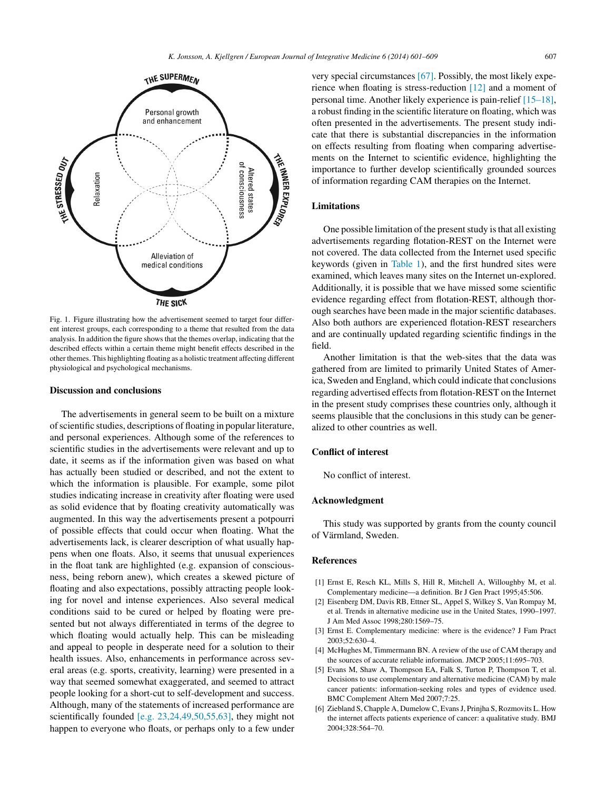<span id="page-6-0"></span>

Fig. 1. Figure illustrating how the advertisement seemed to target four different interest groups, each corresponding to a theme that resulted from the data analysis. In addition the figure shows that the themes overlap, indicating that the described effects within a certain theme might benefit effects described in the other themes. This highlighting floating as a holistic treatment affecting different physiological and psychological mechanisms.

### **Discussion and conclusions**

The advertisements in general seem to be built on a mixture of scientific studies, descriptions of floating in popular literature, and personal experiences. Although some of the references to scientific studies in the advertisements were relevant and up to date, it seems as if the information given was based on what has actually been studied or described, and not the extent to which the information is plausible. For example, some pilot studies indicating increase in creativity after floating were used as solid evidence that by floating creativity automatically was augmented. In this way the advertisements present a potpourri of possible effects that could occur when floating. What the advertisements lack, is clearer description of what usually happens when one floats. Also, it seems that unusual experiences in the float tank are highlighted (e.g. expansion of consciousness, being reborn anew), which creates a skewed picture of floating and also expectations, possibly attracting people looking for novel and intense experiences. Also several medical conditions said to be cured or helped by floating were presented but not always differentiated in terms of the degree to which floating would actually help. This can be misleading and appeal to people in desperate need for a solution to their health issues. Also, enhancements in performance across several areas (e.g. sports, creativity, learning) were presented in a way that seemed somewhat exaggerated, and seemed to attract people looking for a short-cut to self-development and success. Although, many of the statements of increased performance are scientifically founded [\[e.g. 23,24,49,50,55,63\],](#page-7-0) they might not happen to everyone who floats, or perhaps only to a few under

very special circumstances [\[67\]. P](#page-8-0)ossibly, the most likely experience when floating is stress-reduction [\[12\]](#page-7-0) and a moment of personal time. Another likely experience is pain-relief [\[15–18\],](#page-7-0) a robust finding in the scientific literature on floating, which was often presented in the advertisements. The present study indicate that there is substantial discrepancies in the information on effects resulting from floating when comparing advertisements on the Internet to scientific evidence, highlighting the importance to further develop scientifically grounded sources of information regarding CAM therapies on the Internet.

# **Limitations**

One possible limitation of the present study is that all existing advertisements regarding flotation-REST on the Internet were not covered. The data collected from the Internet used specific keywords (given in [Table 1\),](#page-1-0) and the first hundred sites were examined, which leaves many sites on the Internet un-explored. Additionally, it is possible that we have missed some scientific evidence regarding effect from flotation-REST, although thorough searches have been made in the major scientific databases. Also both authors are experienced flotation-REST researchers and are continually updated regarding scientific findings in the field.

Another limitation is that the web-sites that the data was gathered from are limited to primarily United States of America, Sweden and England, which could indicate that conclusions regarding advertised effects from flotation-REST on the Internet in the present study comprises these countries only, although it seems plausible that the conclusions in this study can be generalized to other countries as well.

# **Conflict of interest**

No conflict of interest.

# **Acknowledgment**

This study was supported by grants from the county council of Värmland, Sweden.

### **References**

- [1] Ernst E, Resch KL, Mills S, Hill R, Mitchell A, Willoughby M, et al. Complementary medicine—a definition. Br J Gen Pract 1995;45:506.
- [2] Eisenberg DM, Davis RB, Ettner SL, Appel S, Wilkey S, Van Rompay M, et al. Trends in alternative medicine use in the United States, 1990–1997. J Am Med Assoc 1998;280:1569–75.
- [3] Ernst E. Complementary medicine: where is the evidence? J Fam Pract 2003;52:630–4.
- [4] McHughes M, Timmermann BN. A review of the use of CAM therapy and the sources of accurate reliable information. JMCP 2005;11:695–703.
- [5] Evans M, Shaw A, Thompson EA, Falk S, Turton P, Thompson T, et al. Decisions to use complementary and alternative medicine (CAM) by male cancer patients: information-seeking roles and types of evidence used. BMC Complement Altern Med 2007;7:25.
- [6] Ziebland S, Chapple A, Dumelow C, Evans J, Prinjha S, Rozmovits L. How the internet affects patients experience of cancer: a qualitative study. BMJ 2004;328:564–70.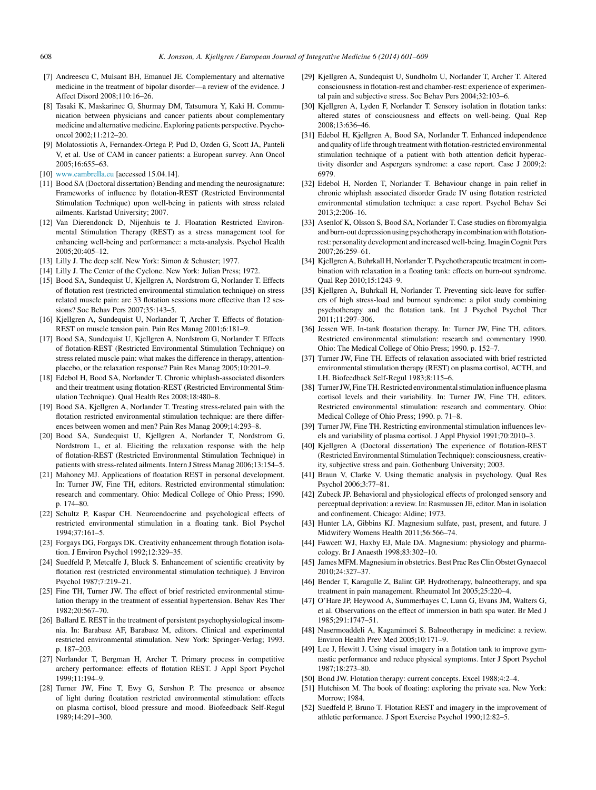- <span id="page-7-0"></span>[7] Andreescu C, Mulsant BH, Emanuel JE. Complementary and alternative medicine in the treatment of bipolar disorder—a review of the evidence. J Affect Disord 2008;110:16–26.
- [8] Tasaki K, Maskarinec G, Shurmay DM, Tatsumura Y, Kaki H. Communication between physicians and cancer patients about complementary medicine and alternative medicine. Exploring patients perspective. Psychooncol 2002;11:212–20.
- [9] Molatossiotis A, Fernandex-Ortega P, Pud D, Ozden G, Scott JA, Panteli V, et al. Use of CAM in cancer patients: a European survey. Ann Oncol 2005;16:655–63.
- [10] [www.cambrella.eu](http://www.cambrella.eu/) [accessed 15.04.14].
- [11] Bood SA (Doctoral dissertation) Bending and mending the neurosignature: Frameworks of influence by flotation-REST (Restricted Environmental Stimulation Technique) upon well-being in patients with stress related ailments. Karlstad University; 2007.
- [12] Van Dierendonck D, Nijenhuis te J. Floatation Restricted Environmental Stimulation Therapy (REST) as a stress management tool for enhancing well-being and performance: a meta-analysis. Psychol Health 2005;20:405–12.
- [13] Lilly J. The deep self. New York: Simon & Schuster; 1977.
- [14] Lilly J. The Center of the Cyclone. New York: Julian Press; 1972.
- [15] Bood SA, Sundequist U, Kjellgren A, Nordstrom G, Norlander T. Effects of flotation rest (restricted environmental stimulation technique) on stress related muscle pain: are 33 flotation sessions more effective than 12 sessions? Soc Behav Pers 2007;35:143–5.
- [16] Kjellgren A, Sundequist U, Norlander T, Archer T. Effects of flotation-REST on muscle tension pain. Pain Res Manag 2001;6:181–9.
- [17] Bood SA, Sundequist U, Kjellgren A, Nordstrom G, Norlander T. Effects of flotation-REST (Restricted Environmental Stimulation Technique) on stress related muscle pain: what makes the difference in therapy, attentionplacebo, or the relaxation response? Pain Res Manag 2005;10:201–9.
- [18] Edebol H, Bood SA, Norlander T. Chronic whiplash-associated disorders and their treatment using flotation-REST (Restricted Environmental Stimulation Technique). Qual Health Res 2008;18:480–8.
- [19] Bood SA, Kjellgren A, Norlander T. Treating stress-related pain with the flotation restricted environmental stimulation technique: are there differences between women and men? Pain Res Manag 2009;14:293–8.
- [20] Bood SA, Sundequist U, Kjellgren A, Norlander T, Nordstrom G, Nordstrom L, et al. Eliciting the relaxation response with the help of flotation-REST (Restricted Environmental Stimulation Technique) in patients with stress-related ailments. Intern J Stress Manag 2006;13:154–5.
- [21] Mahoney MJ. Applications of floatation REST in personal development. In: Turner JW, Fine TH, editors. Restricted environmental stimulation: research and commentary. Ohio: Medical College of Ohio Press; 1990. p. 174–80.
- [22] Schultz P, Kaspar CH. Neuroendocrine and psychological effects of restricted environmental stimulation in a floating tank. Biol Psychol 1994;37:161–5.
- [23] Forgays DG, Forgays DK. Creativity enhancement through flotation isolation. J Environ Psychol 1992;12:329–35.
- [24] Suedfeld P, Metcalfe J, Bluck S. Enhancement of scientific creativity by flotation rest (restricted environmental stimulation technique). J Environ Psychol 1987;7:219–21.
- [25] Fine TH, Turner JW. The effect of brief restricted environmental stimulation therapy in the treatment of essential hypertension. Behav Res Ther 1982;20:567–70.
- [26] Ballard E. REST in the treatment of persistent psychophysiological insomnia. In: Barabasz AF, Barabasz M, editors. Clinical and experimental restricted environmental stimulation. New York: Springer-Verlag; 1993. p. 187–203.
- [27] Norlander T, Bergman H, Archer T. Primary process in competitive archery performance: effects of flotation REST. J Appl Sport Psychol 1999;11:194–9.
- [28] Turner JW, Fine T, Ewy G, Sershon P. The presence or absence of light during floatation restricted environmental stimulation: effects on plasma cortisol, blood pressure and mood. Biofeedback Self-Regul 1989;14:291–300.
- [29] Kjellgren A, Sundequist U, Sundholm U, Norlander T, Archer T. Altered consciousness in flotation-rest and chamber-rest: experience of experimental pain and subjective stress. Soc Behav Pers 2004;32:103–6.
- [30] Kjellgren A, Lyden F, Norlander T. Sensory isolation in flotation tanks: altered states of consciousness and effects on well-being. Qual Rep 2008;13:636–46.
- [31] Edebol H, Kjellgren A, Bood SA, Norlander T. Enhanced independence and quality of life through treatment with flotation-restricted environmental stimulation technique of a patient with both attention deficit hyperactivity disorder and Aspergers syndrome: a case report. Case J 2009;2: 6979.
- [32] Edebol H, Norden T, Norlander T. Behaviour change in pain relief in chronic whiplash associated disorder Grade IV using flotation restricted environmental stimulation technique: a case report. Psychol Behav Sci 2013;2:206–16.
- [33] Asenlof K, Olsson S, Bood SA, Norlander T. Case studies on fibromyalgia and burn-out depression using psychotherapy in combination with flotationrest: personality development and increased well-being. Imagin Cognit Pers 2007;26:259–61.
- [34] Kjellgren A, Buhrkall H, Norlander T. Psychotherapeutic treatment in combination with relaxation in a floating tank: effects on burn-out syndrome. Qual Rep 2010;15:1243–9.
- [35] Kjellgren A, Buhrkall H, Norlander T. Preventing sick-leave for sufferers of high stress-load and burnout syndrome: a pilot study combining psychotherapy and the flotation tank. Int J Psychol Psychol Ther 2011;11:297–306.
- [36] Jessen WE. In-tank floatation therapy. In: Turner JW, Fine TH, editors. Restricted environmental stimulation: research and commentary 1990. Ohio: The Medical College of Ohio Press; 1990. p. 152–7.
- [37] Turner JW, Fine TH. Effects of relaxation associated with brief restricted environmental stimulation therapy (REST) on plasma cortisol, ACTH, and LH. Biofeedback Self-Regul 1983;8:115–6.
- [38] Turner JW, Fine TH. Restricted environmental stimulation influence plasma cortisol levels and their variability. In: Turner JW, Fine TH, editors. Restricted environmental stimulation: research and commentary. Ohio: Medical College of Ohio Press; 1990. p. 71–8.
- [39] Turner JW, Fine TH. Restricting environmental stimulation influences levels and variability of plasma cortisol. J Appl Physiol 1991;70:2010–3.
- [40] Kjellgren A (Doctoral dissertation) The experience of flotation-REST (Restricted Environmental Stimulation Technique): consciousness, creativity, subjective stress and pain. Gothenburg University; 2003.
- [41] Braun V, Clarke V. Using thematic analysis in psychology. Qual Res Psychol 2006;3:77–81.
- [42] Zubeck JP. Behavioral and physiological effects of prolonged sensory and perceptual deprivation: a review. In: Rasmussen JE, editor. Man in isolation and confinement. Chicago: Aldine; 1973.
- [43] Hunter LA, Gibbins KJ. Magnesium sulfate, past, present, and future. J Midwifery Womens Health 2011;56:566–74.
- [44] Fawcett WJ, Haxby EJ, Male DA. Magnesium: physiology and pharmacology. Br J Anaesth 1998;83:302–10.
- [45] James MFM. Magnesium in obstetrics. Best Prac Res Clin Obstet Gynaecol 2010;24:327–37.
- [46] Bender T, Karagulle Z, Balint GP, Hydrotherapy, balneotherapy, and spa treatment in pain management. Rheumatol Int 2005;25:220–4.
- [47] O'Hare JP, Heywood A, Summerhayes C, Lunn G, Evans JM, Walters G, et al. Observations on the effect of immersion in bath spa water. Br Med J 1985;291:1747–51.
- [48] Nasermoaddeli A, Kagamimori S. Balneotherapy in medicine: a review. Environ Health Prev Med 2005;10:171–9.
- [49] Lee J, Hewitt J. Using visual imagery in a flotation tank to improve gymnastic performance and reduce physical symptoms. Inter J Sport Psychol 1987;18:273–80.
- [50] Bond JW. Flotation therapy: current concepts. Excel 1988;4:2-4.
- [51] Hutchison M. The book of floating: exploring the private sea. New York: Morrow; 1984.
- [52] Suedfeld P, Bruno T. Flotation REST and imagery in the improvement of athletic performance. J Sport Exercise Psychol 1990;12:82–5.